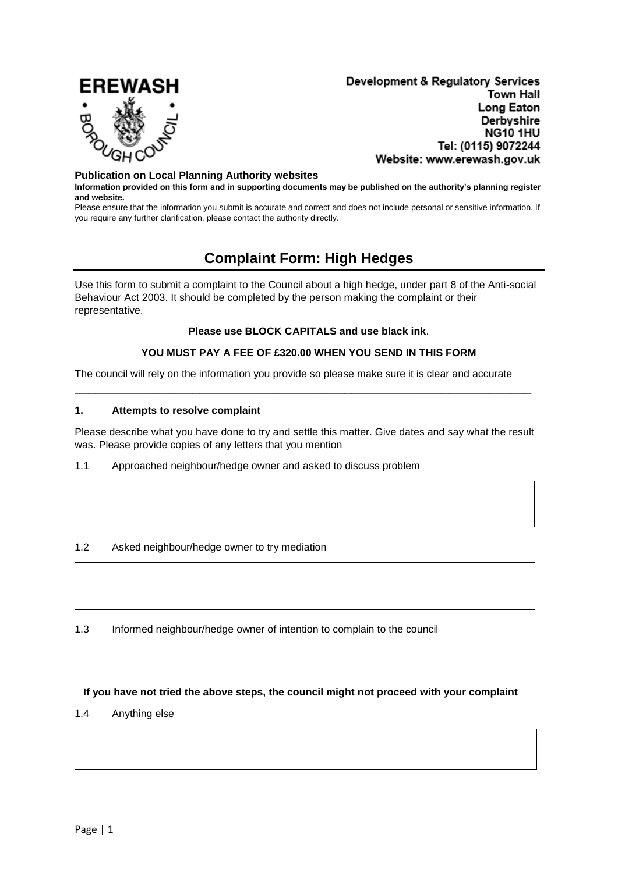

Development & Regulatory Services **Town Hall** Long Eaton Derbyshire NG10 1HU Tel: (0115) 9072244 Website: www.erewash.gov.uk

#### **Publication on Local Planning Authority websites**

**Information provided on this form and in supporting documents may be published on the authority's planning register and website.**

Please ensure that the information you submit is accurate and correct and does not include personal or sensitive information. If you require any further clarification, please contact the authority directly.

# **Complaint Form: High Hedges**

Use this form to submit a complaint to the Council about a high hedge, under part 8 of the Anti-social Behaviour Act 2003. It should be completed by the person making the complaint or their representative.

#### **Please use BLOCK CAPITALS and use black ink**.

#### **YOU MUST PAY A FEE OF £320.00 WHEN YOU SEND IN THIS FORM**

The council will rely on the information you provide so please make sure it is clear and accurate

**\_\_\_\_\_\_\_\_\_\_\_\_\_\_\_\_\_\_\_\_\_\_\_\_\_\_\_\_\_\_\_\_\_\_\_\_\_\_\_\_\_\_\_\_\_\_\_\_\_\_\_\_\_\_\_\_\_\_\_\_\_\_\_\_\_\_**

#### **1. Attempts to resolve complaint**

Please describe what you have done to try and settle this matter. Give dates and say what the result was. Please provide copies of any letters that you mention

1.1 Approached neighbour/hedge owner and asked to discuss problem

### 1.2 Asked neighbour/hedge owner to try mediation

## 1.3 Informed neighbour/hedge owner of intention to complain to the council

#### **If you have not tried the above steps, the council might not proceed with your complaint**

#### 1.4 Anything else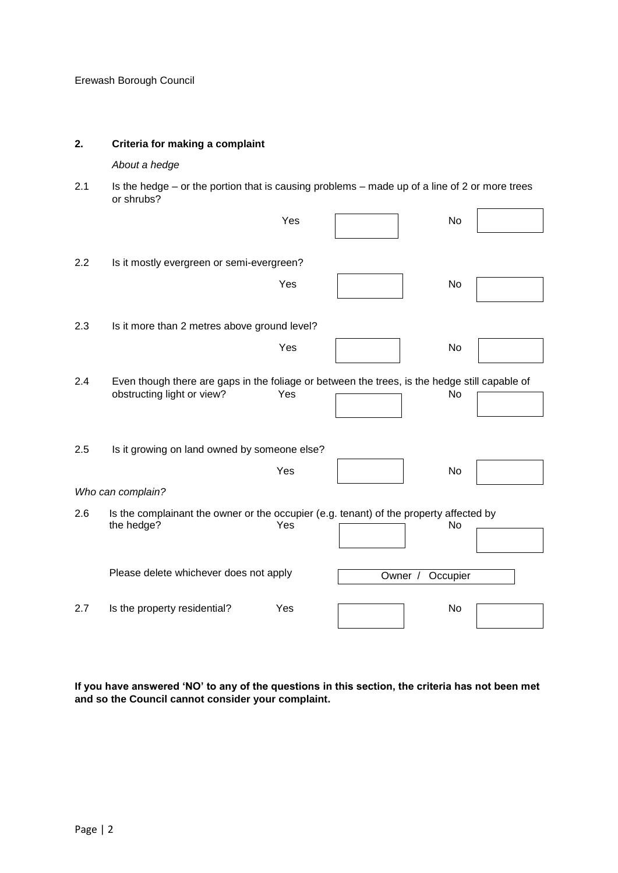## **2. Criteria for making a complaint**

## *About a hedge*

2.1 Is the hedge – or the portion that is causing problems – made up of a line of 2 or more trees or shrubs?  $\mathbf{r}$ 

|     |                                                                                                                             | Yes |         | No       |  |
|-----|-----------------------------------------------------------------------------------------------------------------------------|-----|---------|----------|--|
| 2.2 | Is it mostly evergreen or semi-evergreen?                                                                                   |     |         |          |  |
|     |                                                                                                                             | Yes |         | No       |  |
| 2.3 | Is it more than 2 metres above ground level?                                                                                |     |         |          |  |
|     |                                                                                                                             | Yes |         | No       |  |
| 2.4 | Even though there are gaps in the foliage or between the trees, is the hedge still capable of<br>obstructing light or view? | Yes |         | No       |  |
| 2.5 | Is it growing on land owned by someone else?                                                                                | Yes |         | No       |  |
|     | Who can complain?                                                                                                           |     |         |          |  |
| 2.6 | Is the complainant the owner or the occupier (e.g. tenant) of the property affected by<br>the hedge?                        | Yes |         | No       |  |
|     | Please delete whichever does not apply                                                                                      |     | Owner / | Occupier |  |
| 2.7 | Is the property residential?                                                                                                | Yes |         | No       |  |

**If you have answered 'NO' to any of the questions in this section, the criteria has not been met and so the Council cannot consider your complaint.**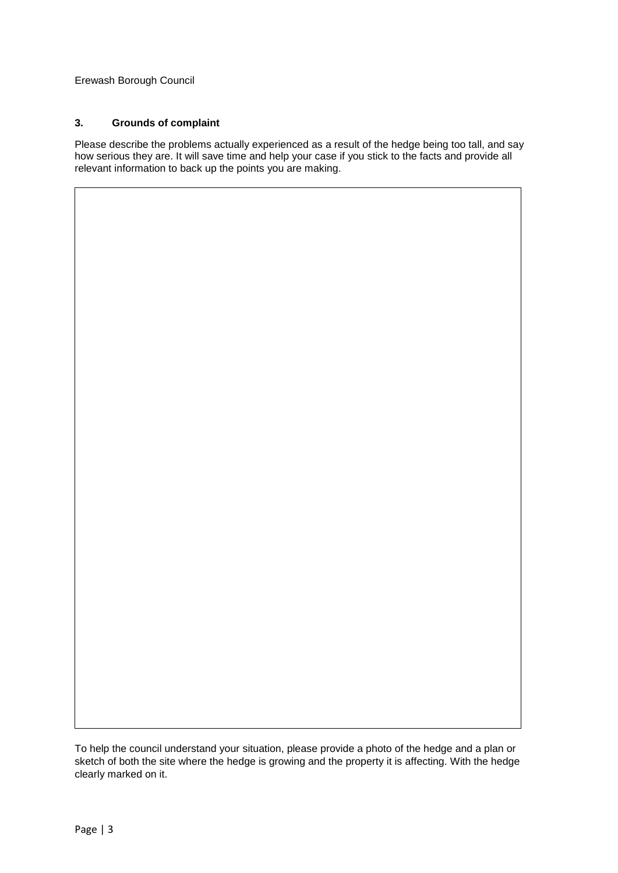## **3. Grounds of complaint**

Please describe the problems actually experienced as a result of the hedge being too tall, and say how serious they are. It will save time and help your case if you stick to the facts and provide all relevant information to back up the points you are making.

To help the council understand your situation, please provide a photo of the hedge and a plan or sketch of both the site where the hedge is growing and the property it is affecting. With the hedge clearly marked on it.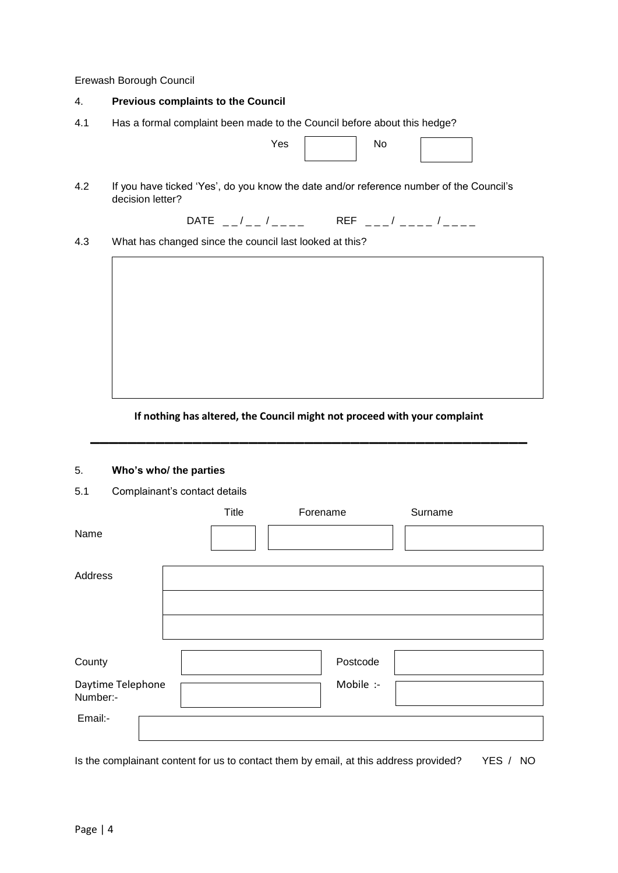#### 4. **Previous complaints to the Council**

4.1 Has a formal complaint been made to the Council before about this hedge?

| Yes | No |
|-----|----|
|     |    |

4.2 If you have ticked 'Yes', do you know the date and/or reference number of the Council's decision letter?

 $\begin{array}{cc} \mathsf{DATE} & \_-\_/\_-\_/\_ \_ \_ \end{array}$  REF  $\begin{array}{cc} \_-\_/\_ \_ \_ \end{array}$ 

4.3 What has changed since the council last looked at this?



# **If nothing has altered, the Council might not proceed with your complaint \_\_\_\_\_\_\_\_\_\_\_\_\_\_\_\_\_\_\_\_\_\_\_\_\_\_\_\_\_\_\_\_\_\_\_\_\_\_\_\_\_\_\_\_\_\_\_**

#### 5. **Who's who/ the parties**

5.1 Complainant's contact details

|                               | Title | Forename  | Surname |
|-------------------------------|-------|-----------|---------|
| Name                          |       |           |         |
|                               |       |           |         |
| Address                       |       |           |         |
|                               |       |           |         |
|                               |       |           |         |
|                               |       |           |         |
| County                        |       | Postcode  |         |
| Daytime Telephone<br>Number:- |       | Mobile :- |         |
| Email:-                       |       |           |         |
|                               |       |           |         |

Is the complainant content for us to contact them by email, at this address provided? YES / NO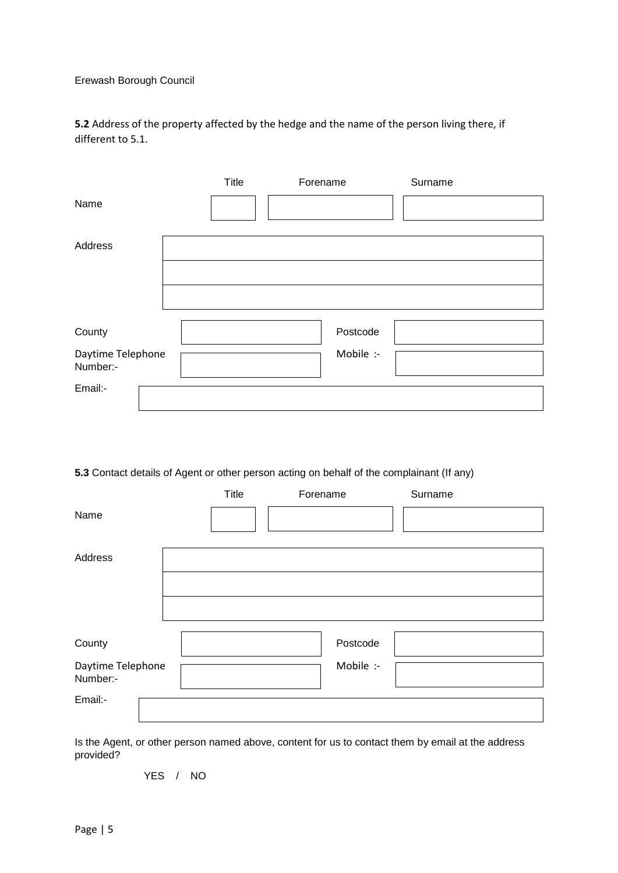**5.2** Address of the property affected by the hedge and the name of the person living there, if different to 5.1.

|                   | Title | Forename |           | Surname |
|-------------------|-------|----------|-----------|---------|
| Name              |       |          |           |         |
|                   |       |          |           |         |
| Address           |       |          |           |         |
|                   |       |          |           |         |
|                   |       |          |           |         |
|                   |       |          |           |         |
|                   |       |          |           |         |
| County            |       |          | Postcode  |         |
| Daytime Telephone |       |          | Mobile :- |         |
| Number:-          |       |          |           |         |
| Email:-           |       |          |           |         |
|                   |       |          |           |         |

# **5.3** Contact details of Agent or other person acting on behalf of the complainant (If any)

|                               | Title | Forename  | Surname |
|-------------------------------|-------|-----------|---------|
| Name                          |       |           |         |
|                               |       |           |         |
| Address                       |       |           |         |
|                               |       |           |         |
|                               |       |           |         |
|                               |       |           |         |
| County                        |       | Postcode  |         |
| Daytime Telephone<br>Number:- |       | Mobile :- |         |
| Email:-                       |       |           |         |
|                               |       |           |         |

Is the Agent, or other person named above, content for us to contact them by email at the address provided?

YES / NO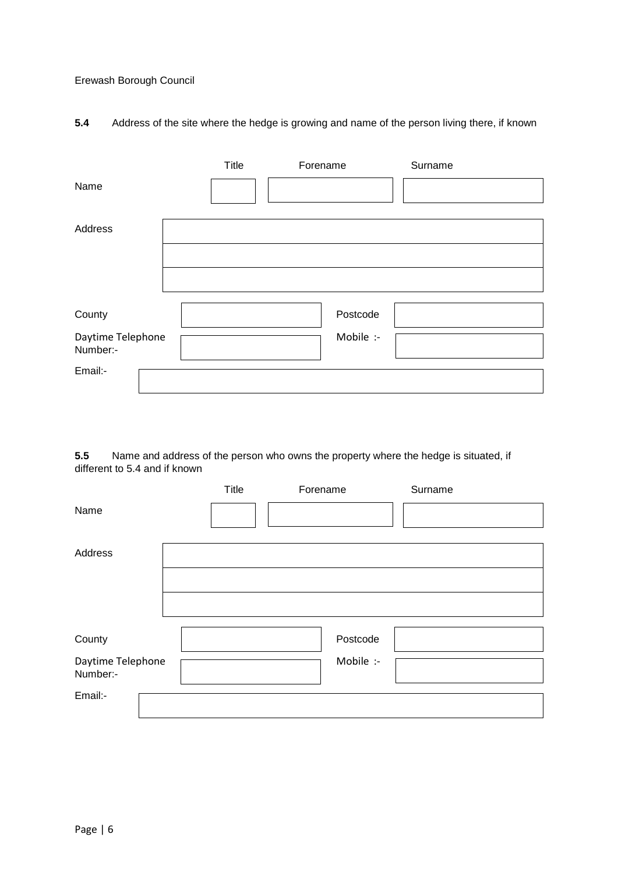# **5.4** Address of the site where the hedge is growing and name of the person living there, if known

|                               | Title | Forename  | Surname |
|-------------------------------|-------|-----------|---------|
| Name                          |       |           |         |
|                               |       |           |         |
| Address                       |       |           |         |
|                               |       |           |         |
|                               |       |           |         |
|                               |       |           |         |
| County                        |       | Postcode  |         |
| Daytime Telephone<br>Number:- |       | Mobile :- |         |
| Email:-                       |       |           |         |
|                               |       |           |         |

**5.5** Name and address of the person who owns the property where the hedge is situated, if different to 5.4 and if known

|                               | Title | Forename  | Surname |
|-------------------------------|-------|-----------|---------|
| Name                          |       |           |         |
|                               |       |           |         |
| Address                       |       |           |         |
|                               |       |           |         |
|                               |       |           |         |
|                               |       |           |         |
| County                        |       | Postcode  |         |
| Daytime Telephone<br>Number:- |       | Mobile :- |         |
| Email:-                       |       |           |         |